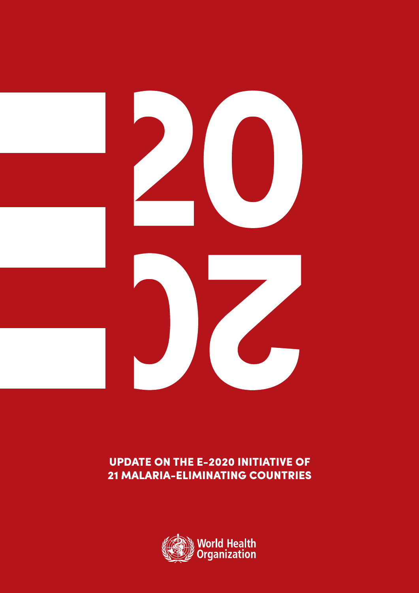

# UPDATE ON THE E-2020 INITIATIVE OF 21 MALARIA-ELIMINATING COUNTRIES

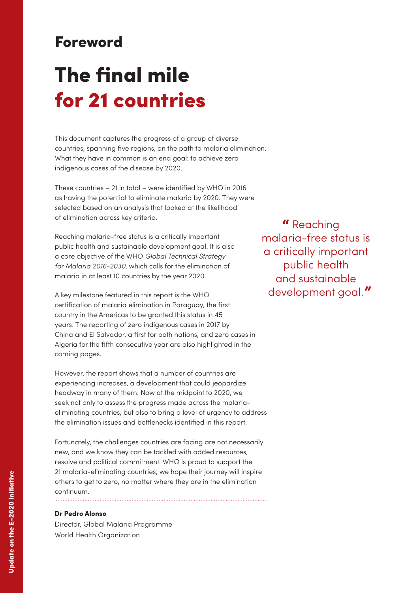# Foreword

# The final mile for 21 countries

This document captures the progress of a group of diverse countries, spanning five regions, on the path to malaria elimination. What they have in common is an end goal: to achieve zero indigenous cases of the disease by 2020.

These countries – 21 in total – were identified by WHO in 2016 as having the potential to eliminate malaria by 2020. They were selected based on an analysis that looked at the likelihood of elimination across key criteria.

Reaching malaria-free status is a critically important public health and sustainable development goal. It is also a core objective of the WHO *Global Technical Strategy for Malaria 2016-2030*, which calls for the elimination of malaria in at least 10 countries by the year 2020.

A key milestone featured in this report is the WHO certification of malaria elimination in Paraguay, the first country in the Americas to be granted this status in 45 years. The reporting of zero indigenous cases in 2017 by China and El Salvador, a first for both nations, and zero cases in Algeria for the fifth consecutive year are also highlighted in the coming pages.

However, the report shows that a number of countries are experiencing increases, a development that could jeopardize headway in many of them. Now at the midpoint to 2020, we seek not only to assess the progress made across the malariaeliminating countries, but also to bring a level of urgency to address the elimination issues and bottlenecks identified in this report.

Fortunately, the challenges countries are facing are not necessarily new, and we know they can be tackled with added resources, resolve and political commitment. WHO is proud to support the 21 malaria-eliminating countries; we hope their journey will inspire others to get to zero, no matter where they are in the elimination continuum.

# **Dr Pedro Alonso**

Director, Global Malaria Programme World Health Organization

" Reaching malaria-free status is a critically important public health and sustainable development goal."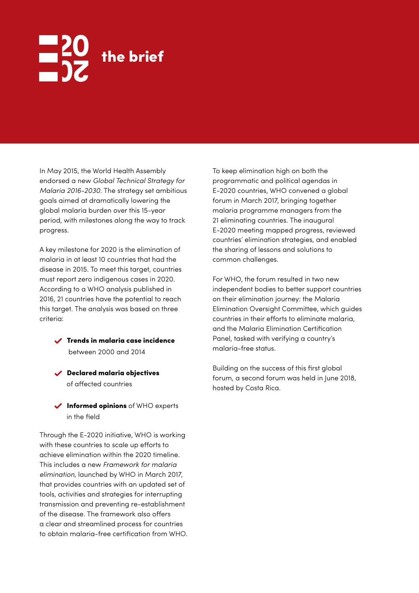# the brief

In May 2015, the World Health Assembly endorsed a new *Global Technical Strategy for Malaria 2016-2030*. The strategy set ambitious goals aimed at dramatically lowering the global malaria burden over this 15-year period, with milestones along the way to track progress.

A key milestone for 2020 is the elimination of malaria in at least 10 countries that had the disease in 2015. To meet this target, countries must report zero indigenous cases in 2020. According to a WHO analysis published in 2016, 21 countries have the potential to reach this target. The analysis was based on three criteria:

- Trends in malaria case incidence between 2000 and 2014
- Declared malaria objectives of affected countries

 $\checkmark$  Informed opinions of WHO experts in the field

Through the E-2020 initiative, WHO is working with these countries to scale up efforts to achieve elimination within the 2020 timeline. This includes a new *Framework for malaria elimination*, launched by WHO in March 2017, that provides countries with an updated set of tools, activities and strategies for interrupting transmission and preventing re-establishment of the disease. The framework also offers a clear and streamlined process for countries to obtain malaria-free certification from WHO. To keep elimination high on both the programmatic and political agendas in E-2020 countries, WHO convened a global forum in March 2017, bringing together malaria programme managers from the 21 eliminating countries. The inaugural E-2020 meeting mapped progress, reviewed countries' elimination strategies, and enabled the sharing of lessons and solutions to common challenges.

For WHO, the forum resulted in two new independent bodies to better support countries on their elimination journey: the Malaria Elimination Oversight Committee, which guides countries in their efforts to eliminate malaria, and the Malaria Elimination Certification Panel, tasked with verifying a country's malaria-free status.

Building on the success of this first global forum, a second forum was held in June 2018, hosted by Costa Rica.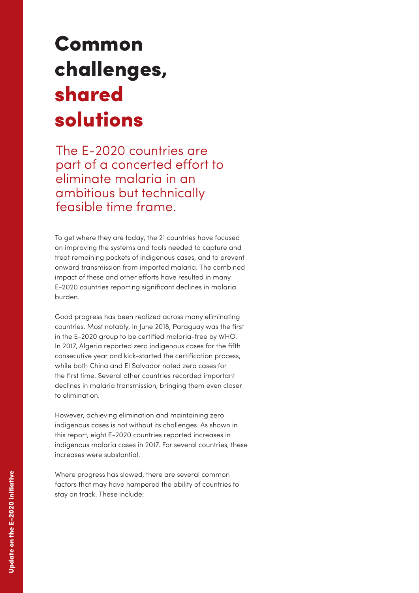# Common challenges, shared solutions

The E-2020 countries are part of a concerted effort to eliminate malaria in an ambitious but technically feasible time frame.

To get where they are today, the 21 countries have focused on improving the systems and tools needed to capture and treat remaining pockets of indigenous cases, and to prevent onward transmission from imported malaria. The combined impact of these and other efforts have resulted in many E-2020 countries reporting significant declines in malaria burden.

Good progress has been realized across many eliminating countries. Most notably, in June 2018, Paraguay was the first in the E-2020 group to be certified malaria-free by WHO. In 2017, Algeria reported zero indigenous cases for the fifth consecutive year and kick-started the certification process, while both China and El Salvador noted zero cases for the first time. Several other countries recorded important declines in malaria transmission, bringing them even closer to elimination.

However, achieving elimination and maintaining zero indigenous cases is not without its challenges. As shown in this report, eight E-2020 countries reported increases in indigenous malaria cases in 2017. For several countries, these increases were substantial.

Where progress has slowed, there are several common factors that may have hampered the ability of countries to stay on track. These include: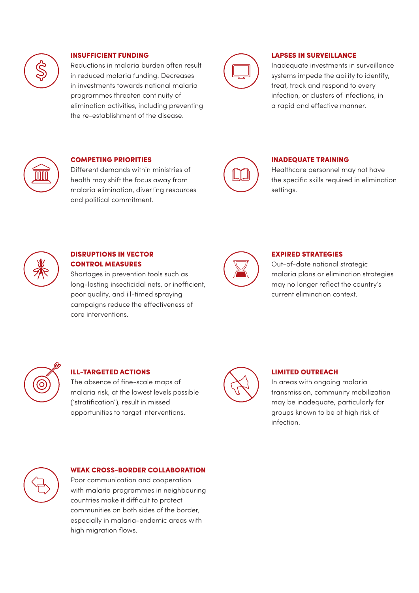

## INSUFFICIENT FUNDING

Reductions in malaria burden often result in reduced malaria funding. Decreases in investments towards national malaria programmes threaten continuity of elimination activities, including preventing the re-establishment of the disease.



### LAPSES IN SURVEILLANCE

Inadequate investments in surveillance systems impede the ability to identify, treat, track and respond to every infection, or clusters of infections, in a rapid and effective manner.



# COMPETING PRIORITIES

Different demands within ministries of health may shift the focus away from malaria elimination, diverting resources and political commitment.



### INADEQUATE TRAINING

Healthcare personnel may not have the specific skills required in elimination settings.



# DISRUPTIONS IN VECTOR CONTROL MEASURES

Shortages in prevention tools such as long-lasting insecticidal nets, or inefficient, poor quality, and ill-timed spraying campaigns reduce the effectiveness of core interventions.



### EXPIRED STRATEGIES

Out-of-date national strategic malaria plans or elimination strategies may no longer reflect the country's current elimination context.



# ILL-TARGETED ACTIONS

The absence of fine-scale maps of malaria risk, at the lowest levels possible ('stratification'), result in missed opportunities to target interventions.



#### LIMITED OUTREACH

In areas with ongoing malaria transmission, community mobilization may be inadequate, particularly for groups known to be at high risk of infection.



### WEAK CROSS-BORDER COLLABORATION

Poor communication and cooperation with malaria programmes in neighbouring countries make it difficult to protect communities on both sides of the border, especially in malaria-endemic areas with high migration flows.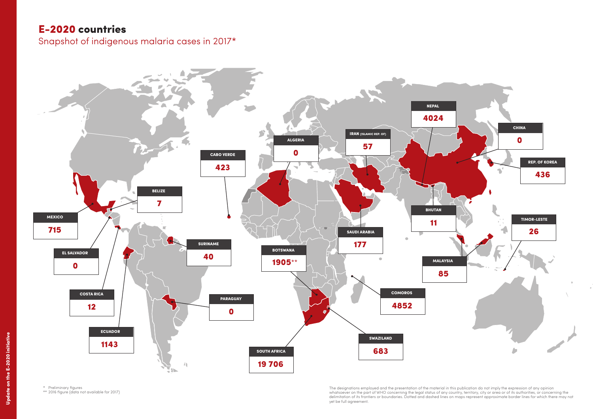\* Preliminary figures

\*\* 2016 figure (data not available for 2017)

# E-2020 countries

Snapshot of indigenous malaria cases in 2017\*



yet be full agreement.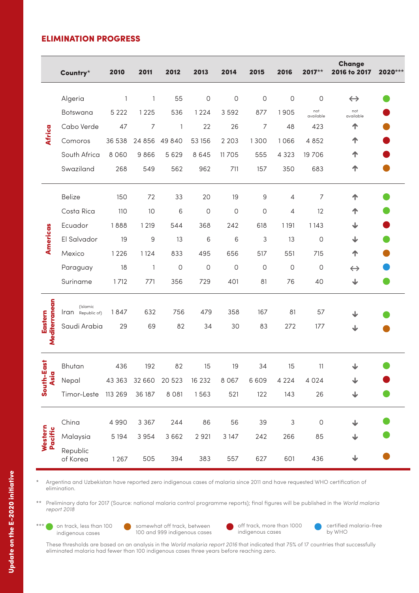# ELIMINATION PROGRESS

|                          | Country*                      | 2010         | 2011           | 2012         | 2013         | 2014         | 2015           | 2016         | $2017**$         | Change<br>2016 to 2017  | 2020*** |
|--------------------------|-------------------------------|--------------|----------------|--------------|--------------|--------------|----------------|--------------|------------------|-------------------------|---------|
| Africa                   | Algeria                       | $\mathbf{1}$ | $\mathbb{1}$   | 55           | $\mathsf{O}$ | $\mathsf{O}$ | $\mathsf{O}$   | $\mathsf O$  | 0                | $\leftrightarrow$       |         |
|                          | Botswana                      | 5 2 2 2      | 1225           | 536          | 1224         | 3592         | 877            | 1905         | not<br>available | not<br>available        |         |
|                          | Cabo Verde                    | 47           | $\overline{7}$ | $\mathbf{1}$ | 22           | 26           | $\overline{7}$ | 48           | 423              | 个                       |         |
|                          | Comoros                       | 36 538       | 24 8 56        | 49 840       | 53 156       | 2 2 0 3      | 1300           | 1066         | 4 8 5 2          | 个                       |         |
|                          | South Africa                  | 8 0 6 0      | 9866           | 5 6 2 9      | 8 6 4 5      | 11 7 0 5     | 555            | 4 3 2 3      | 19 7 06          | ↑                       |         |
|                          | Swaziland                     | 268          | 549            | 562          | 962          | 711          | 157            | 350          | 683              | 个                       |         |
| Americas                 | <b>Belize</b>                 | 150          | 72             | 33           | 20           | 19           | 9              | 4            | 7                | ↑                       |         |
|                          | Costa Rica                    | 110          | 10             | 6            | $\circ$      | 0            | 0              | 4            | 12               | ↑                       |         |
|                          | Ecuador                       | 1888         | 1 2 1 9        | 544          | 368          | 242          | 618            | 1 1 9 1      | 1143             | ↓                       |         |
|                          | El Salvador                   | 19           | $\mathsf 9$    | 13           | 6            | 6            | 3              | 13           | $\mathsf O$      | ↓                       |         |
|                          | Mexico                        | 1226         | 1124           | 833          | 495          | 656          | 517            | 551          | 715              | 个                       |         |
|                          | Paraguay                      | 18           | $\mathbb{1}$   | $\mathsf{O}$ | $\mathsf{O}$ | $\mathsf{O}$ | $\circ$        | $\mathsf{O}$ | $\mathsf{O}$     | $\leftrightarrow$       |         |
|                          | Suriname                      | 1712         | 771            | 356          | 729          | 401          | 81             | 76           | 40               | ↓                       |         |
| Mediterranean<br>Eastern | (Islamic<br>Iran Republic of) | 1847         | 632            | 756          | 479          | 358          | 167            | 81           | 57               | $\overline{\mathbf{V}}$ |         |
|                          | Saudi Arabia                  | 29           | 69             | 82           | 34           | 30           | 83             | 272          | 177              | ↓                       |         |
| South-East<br>Asia       | Bhutan                        | 436          | 192            | 82           | 15           | 19           | 34             | 15           | 11               | ↓                       |         |
|                          | Nepal                         |              | 43 363 32 660  | 20 523       | 16 232       | 8 0 6 7      | 6 6 0 9        | 4 2 2 4      | 4 0 2 4          | ↓                       |         |
|                          | Timor-Leste 113 269           |              | 36 187         | 8 0 8 1      | 1563         | 521          | 122            | 143          | 26               | ↓                       |         |
| Western<br>Pacific       | China                         | 4 9 9 0      | 3 3 6 7        | 244          | 86           | 56           | 39             | 3            | $\mathsf O$      | $\overline{\mathbf{V}}$ |         |
|                          | Malaysia                      | 5 1 9 4      | 3 9 5 4        | 3 6 6 2      | 2 9 21       | 3 1 4 7      | 242            | 266          | 85               | ↓                       |         |
|                          | Republic<br>of Korea          | 1267         | 505            | 394          | 383          | 557          | 627            | 601          | 436              | $\overline{\mathbf{V}}$ |         |

\* Argentina and Uzbekistan have reported zero indigenous cases of malaria since 2011 and have requested WHO certification of elimination.

\*\* Preliminary data for 2017 (Source: national malaria control programme reports); final figures will be published in the *World malaria report 2018*

\*\*\* on track, less than 100 indigenous cases

somewhat off track, between 100 and 999 indigenous cases

off track, more than 1000  $\bullet$ indigenous cases

certified malaria-free by WHO

These thresholds are based on an analysis in the *World malaria report 2016* that indicated that 75% of 17 countries that successfully eliminated malaria had fewer than 100 indigenous cases three years before reaching zero.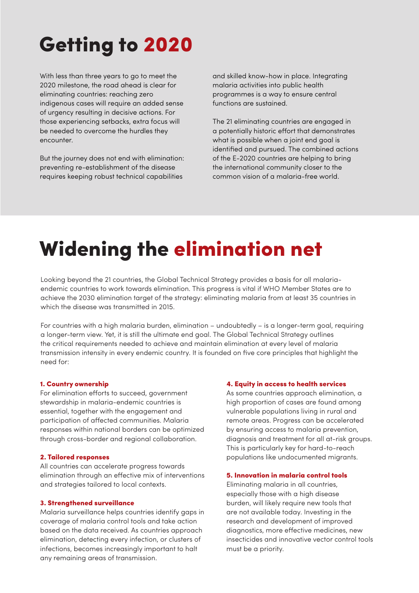# Getting to 2020

With less than three years to go to meet the 2020 milestone, the road ahead is clear for eliminating countries: reaching zero indigenous cases will require an added sense of urgency resulting in decisive actions. For those experiencing setbacks, extra focus will be needed to overcome the hurdles they encounter.

But the journey does not end with elimination: preventing re-establishment of the disease requires keeping robust technical capabilities

and skilled know-how in place. Integrating malaria activities into public health programmes is a way to ensure central functions are sustained.

The 21 eliminating countries are engaged in a potentially historic effort that demonstrates what is possible when a joint end goal is identified and pursued. The combined actions of the E-2020 countries are helping to bring the international community closer to the common vision of a malaria-free world.

# Widening the elimination net

Looking beyond the 21 countries, the Global Technical Strategy provides a basis for all malariaendemic countries to work towards elimination. This progress is vital if WHO Member States are to achieve the 2030 elimination target of the strategy: eliminating malaria from at least 35 countries in which the disease was transmitted in 2015.

For countries with a high malaria burden, elimination – undoubtedly – is a longer-term goal, requiring a longer-term view. Yet, it is still the ultimate end goal. The Global Technical Strategy outlines the critical requirements needed to achieve and maintain elimination at every level of malaria transmission intensity in every endemic country. It is founded on five core principles that highlight the need for:

### 1. Country ownership

For elimination efforts to succeed, government stewardship in malaria-endemic countries is essential, together with the engagement and participation of affected communities. Malaria responses within national borders can be optimized through cross-border and regional collaboration.

### 2. Tailored responses

All countries can accelerate progress towards elimination through an effective mix of interventions and strategies tailored to local contexts.

### 3. Strengthened surveillance

Malaria surveillance helps countries identify gaps in coverage of malaria control tools and take action based on the data received. As countries approach elimination, detecting every infection, or clusters of infections, becomes increasingly important to halt any remaining areas of transmission.

## 4. Equity in access to health services

As some countries approach elimination, a high proportion of cases are found among vulnerable populations living in rural and remote areas. Progress can be accelerated by ensuring access to malaria prevention, diagnosis and treatment for all at-risk groups. This is particularly key for hard-to-reach populations like undocumented migrants.

### 5. Innovation in malaria control tools

Eliminating malaria in all countries, especially those with a high disease burden, will likely require new tools that are not available today. Investing in the research and development of improved diagnostics, more effective medicines, new insecticides and innovative vector control tools must be a priority.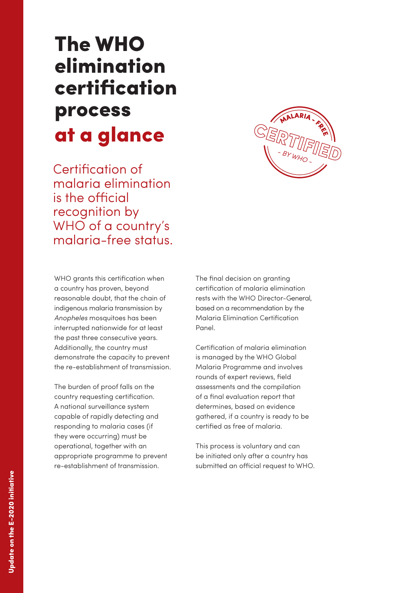# The WHO elimination certification process at a glance

Certification of malaria elimination is the official recognition by WHO of a country's malaria-free status.



WHO grants this certification when a country has proven, beyond reasonable doubt, that the chain of indigenous malaria transmission by *Anopheles* mosquitoes has been interrupted nationwide for at least the past three consecutive years. Additionally, the country must demonstrate the capacity to prevent the re-establishment of transmission.

The burden of proof falls on the country requesting certification. A national surveillance system capable of rapidly detecting and responding to malaria cases (if they were occurring) must be operational, together with an appropriate programme to prevent re-establishment of transmission.

The final decision on granting certification of malaria elimination rests with the WHO Director-General, based on a recommendation by the Malaria Elimination Certification Panel.

Certification of malaria elimination is managed by the WHO Global Malaria Programme and involves rounds of expert reviews, field assessments and the compilation of a final evaluation report that determines, based on evidence gathered, if a country is ready to be certified as free of malaria.

This process is voluntary and can be initiated only after a country has submitted an official request to WHO.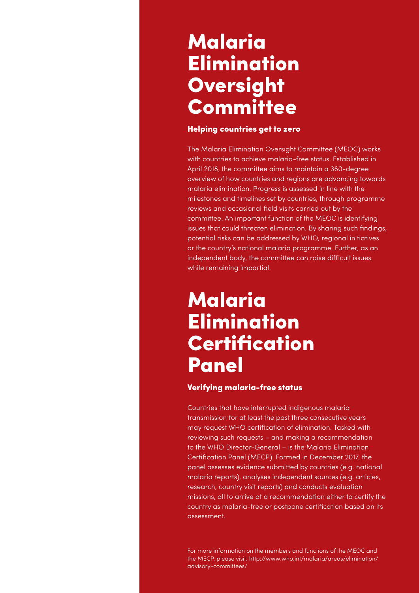# Malaria Elimination **Oversight Committee**

# Helping countries get to zero

The Malaria Elimination Oversight Committee (MEOC) works with countries to achieve malaria-free status. Established in April 2018, the committee aims to maintain a 360-degree overview of how countries and regions are advancing towards malaria elimination. Progress is assessed in line with the milestones and timelines set by countries, through programme reviews and occasional field visits carried out by the committee. An important function of the MEOC is identifying issues that could threaten elimination. By sharing such findings, potential risks can be addressed by WHO, regional initiatives or the country's national malaria programme. Further, as an independent body, the committee can raise difficult issues while remaining impartial.

# Malaria **Elimination Certification** Panel

# Verifying malaria-free status

Countries that have interrupted indigenous malaria transmission for at least the past three consecutive years may request WHO certification of elimination. Tasked with reviewing such requests – and making a recommendation to the WHO Director-General – is the Malaria Elimination Certification Panel (MECP). Formed in December 2017, the panel assesses evidence submitted by countries (e.g. national malaria reports), analyses independent sources (e.g. articles, research, country visit reports) and conducts evaluation missions, all to arrive at a recommendation either to certify the country as malaria-free or postpone certification based on its assessment.

For more information on the members and functions of the MEOC and the MECP, please visit: http://www.who.int/malaria/areas/elimination/ advisory-committees/